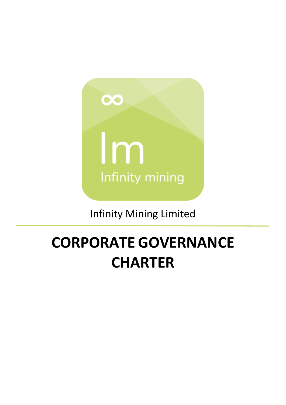

# Infinity Mining Limited

# **CORPORATE GOVERNANCE CHARTER**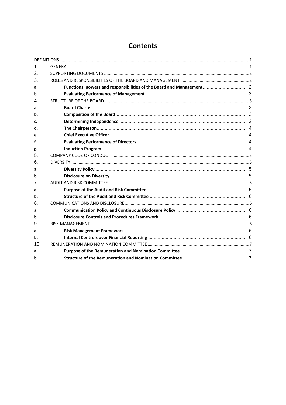## **Contents**

| 1.             |                                                                      |  |
|----------------|----------------------------------------------------------------------|--|
| 2.             |                                                                      |  |
| 3.             |                                                                      |  |
| a.             | Functions, powers and responsibilities of the Board and Management 2 |  |
| b.             |                                                                      |  |
| $\mathbf{4}$ . |                                                                      |  |
| a.             |                                                                      |  |
| b.             |                                                                      |  |
| c.             |                                                                      |  |
| d.             |                                                                      |  |
| e.             |                                                                      |  |
| f.             |                                                                      |  |
| g.             |                                                                      |  |
| 5.             |                                                                      |  |
| 6.             |                                                                      |  |
| a.             |                                                                      |  |
| b.             |                                                                      |  |
| 7.             |                                                                      |  |
| а.             |                                                                      |  |
| b.             |                                                                      |  |
| 8.             |                                                                      |  |
| а.             |                                                                      |  |
| b.             |                                                                      |  |
| 9.             |                                                                      |  |
| a.             |                                                                      |  |
| b.             |                                                                      |  |
| 10.            |                                                                      |  |
| а.             |                                                                      |  |
| b.             |                                                                      |  |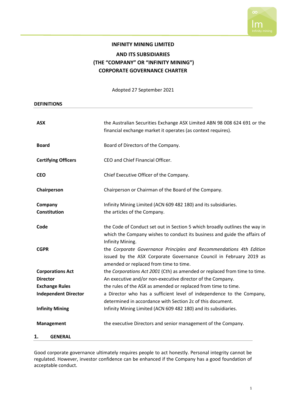

### **INFINITY MINING LIMITED AND ITS SUBSIDIARIES (THE "COMPANY" OR "INFINITY MINING") CORPORATE GOVERNANCE CHARTER**

Adopted 27 September 2021

<span id="page-2-0"></span>

| <b>DEFINITIONS</b>          |                                                                                                              |
|-----------------------------|--------------------------------------------------------------------------------------------------------------|
| <b>ASX</b>                  | the Australian Securities Exchange ASX Limited ABN 98 008 624 691 or the                                     |
|                             | financial exchange market it operates (as context requires).                                                 |
| <b>Board</b>                | Board of Directors of the Company.                                                                           |
| <b>Certifying Officers</b>  | CEO and Chief Financial Officer.                                                                             |
| <b>CEO</b>                  | Chief Executive Officer of the Company.                                                                      |
| Chairperson                 | Chairperson or Chairman of the Board of the Company.                                                         |
| Company                     | Infinity Mining Limited (ACN 609 482 180) and its subsidiaries.                                              |
| <b>Constitution</b>         | the articles of the Company.                                                                                 |
| Code                        | the Code of Conduct set out in Section 5 which broadly outlines the way in                                   |
|                             | which the Company wishes to conduct its business and guide the affairs of<br>Infinity Mining.                |
| <b>CGPR</b>                 | the Corporate Governance Principles and Recommendations 4th Edition                                          |
|                             | issued by the ASX Corporate Governance Council in February 2019 as<br>amended or replaced from time to time. |
| <b>Corporations Act</b>     | the Corporations Act 2001 (Cth) as amended or replaced from time to time.                                    |
| <b>Director</b>             | An executive and/or non-executive director of the Company.                                                   |
| <b>Exchange Rules</b>       | the rules of the ASX as amended or replaced from time to time.                                               |
| <b>Independent Director</b> | a Director who has a sufficient level of independence to the Company,                                        |
|                             | determined in accordance with Section 2c of this document.                                                   |
| <b>Infinity Mining</b>      | Infinity Mining Limited (ACN 609 482 180) and its subsidiaries.                                              |
| <b>Management</b>           | the executive Directors and senior management of the Company.                                                |
| <b>GENERAL</b><br>1.        |                                                                                                              |

<span id="page-2-1"></span>Good corporate governance ultimately requires people to act honestly. Personal integrity cannot be regulated. However, investor confidence can be enhanced if the Company has a good foundation of acceptable conduct.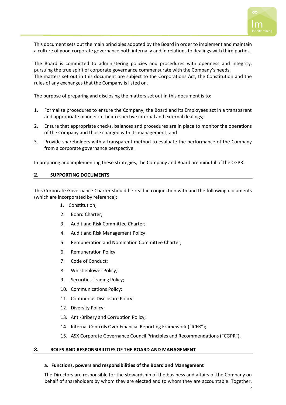

This document sets out the main principles adopted by the Board in order to implement and maintain a culture of good corporate governance both internally and in relations to dealings with third parties.

The Board is committed to administering policies and procedures with openness and integrity, pursuing the true spirit of corporate governance commensurate with the Company's needs. The matters set out in this document are subject to the Corporations Act, the Constitution and the rules of any exchanges that the Company is listed on.

The purpose of preparing and disclosing the matters set out in this document is to:

- 1. Formalise procedures to ensure the Company, the Board and its Employees act in a transparent and appropriate manner in their respective internal and external dealings;
- 2. Ensure that appropriate checks, balances and procedures are in place to monitor the operations of the Company and those charged with its management; and
- 3. Provide shareholders with a transparent method to evaluate the performance of the Company from a corporate governance perspective.

<span id="page-3-0"></span>In preparing and implementing these strategies, the Company and Board are mindful of the CGPR.

#### **2. SUPPORTING DOCUMENTS**

This Corporate Governance Charter should be read in conjunction with and the following documents (which are incorporated by reference):

- 1. Constitution;
- 2. Board Charter;
- 3. Audit and Risk Committee Charter;
- 4. Audit and Risk Management Policy
- 5. Remuneration and Nomination Committee Charter;
- 6. Remuneration Policy
- 7. Code of Conduct;
- 8. Whistleblower Policy;
- 9. Securities Trading Policy;
- 10. Communications Policy;
- 11. Continuous Disclosure Policy;
- 12. Diversity Policy;
- 13. Anti-Bribery and Corruption Policy;
- 14. Internal Controls Over Financial Reporting Framework ("ICFR");
- 15. ASX Corporate Governance Council Principles and Recommendations ("CGPR").

#### <span id="page-3-1"></span>**3. ROLES AND RESPONSIBILITIES OF THE BOARD AND MANAGEMENT**

#### <span id="page-3-2"></span>**a. Functions, powers and responsibilities of the Board and Management**

The Directors are responsible for the stewardship of the business and affairs of the Company on behalf of shareholders by whom they are elected and to whom they are accountable. Together,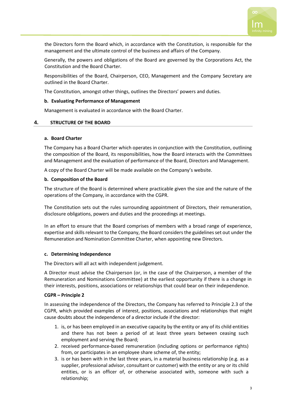

the Directors form the Board which, in accordance with the Constitution, is responsible for the management and the ultimate control of the business and affairs of the Company.

Generally, the powers and obligations of the Board are governed by the Corporations Act, the Constitution and the Board Charter.

Responsibilities of the Board, Chairperson, CEO, Management and the Company Secretary are outlined in the Board Charter.

The Constitution, amongst other things, outlines the Directors' powers and duties.

#### <span id="page-4-0"></span>**b. Evaluating Performance of Management**

Management is evaluated in accordance with the Board Charter.

#### <span id="page-4-1"></span>**4. STRUCTURE OF THE BOARD**

#### <span id="page-4-2"></span>**a. Board Charter**

The Company has a Board Charter which operates in conjunction with the Constitution, outlining the composition of the Board, its responsibilities, how the Board interacts with the Committees and Management and the evaluation of performance of the Board, Directors and Management.

A copy of the Board Charter will be made available on the Company's website.

#### <span id="page-4-3"></span>**b. Composition of the Board**

The structure of the Board is determined where practicable given the size and the nature of the operations of the Company, in accordance with the CGPR.

The Constitution sets out the rules surrounding appointment of Directors, their remuneration, disclosure obligations, powers and duties and the proceedings at meetings.

In an effort to ensure that the Board comprises of members with a broad range of experience, expertise and skills relevant to the Company, the Board considersthe guidelinesset out under the Remuneration and Nomination Committee Charter, when appointing new Directors.

#### <span id="page-4-4"></span>**c. Determining Independence**

The Directors will all act with independent judgement.

A Director must advise the Chairperson (or, in the case of the Chairperson, a member of the Remuneration and Nominations Committee) at the earliest opportunity if there is a change in their interests, positions, associations or relationships that could bear on their independence.

#### **CGPR – Principle 2**

In assessing the independence of the Directors, the Company has referred to Principle 2.3 of the CGPR, which provided examples of interest, positions, associations and relationships that might cause doubts about the independence of a director include if the director:

- 1. is, or has been employed in an executive capacity by the entity or any of its child entities and there has not been a period of at least three years between ceasing such employment and serving the Board;
- 2. received performance-based remuneration (including options or performance rights) from, or participates in an employee share scheme of, the entity;
- 3. is or has been with in the last three years, in a material business relationship (e.g. as a supplier, professional advisor, consultant or customer) with the entity or any or its child entities, or is an officer of, or otherwise associated with, someone with such a relationship;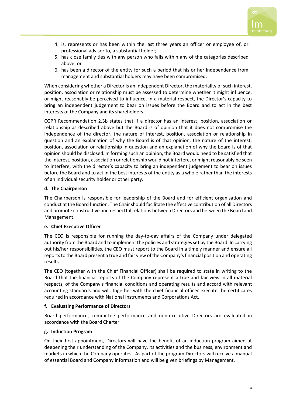

- 4. is, represents or has been within the last three years an officer or employee of, or professional advisor to, a substantial holder;
- 5. has close family ties with any person who falls within any of the categories described above; or
- 6. has been a director of the entity for such a period that his or her independence from management and substantial holders may have been compromised.

When considering whether a Director is an Independent Director, the materiality of such interest, position, association or relationship must be assessed to determine whether it might influence, or might reasonably be perceived to influence, in a material respect, the Director's capacity to bring an independent judgement to bear on issues before the Board and to act in the best interests of the Company and its shareholders.

CGPR Recommendation 2.3b states that if a director has an interest, position, association or relationship as described above but the Board is of opinion that it does not compromise the independence of the director, the nature of interest, position, association or relationship in question and an explanation of why the Board is of that opinion, the nature of the interest, position, association or relationship in question and an explanation of why the board is of that opinion should be disclosed. In forming such an opinion, the Board would need to be satisfied that the interest, position, association or relationship would not interfere, or might reasonably be seen to interfere, with the director's capacity to bring an independent judgement to bear on issues before the Board and to act in the best interests of the entity as a whole rather than the interests of an individual security holder or other party.

#### <span id="page-5-0"></span>**d. The Chairperson**

The Chairperson is responsible for leadership of the Board and for efficient organisation and conduct at the Board function. The Chair should facilitate the effective contribution of all Directors and promote constructive and respectful relations between Directors and between the Board and Management.

#### <span id="page-5-1"></span>**e. Chief Executive Officer**

The CEO is responsible for running the day-to-day affairs of the Company under delegated authority from the Board and to implement the policies and strategies set by the Board. In carrying out his/her responsibilities, the CEO must report to the Board in a timely manner and ensure all reports to the Board present a true and fair view of the Company's financial position and operating results.

The CEO (together with the Chief Financial Officer) shall be required to state in writing to the Board that the financial reports of the Company represent a true and fair view in all material respects, of the Company's financial conditions and operating results and accord with relevant accounting standards and will, together with the chief financial officer execute the certificates required in accordance with National Instruments and Corporations Act.

#### <span id="page-5-2"></span>**f. Evaluating Performance of Directors**

Board performance, committee performance and non-executive Directors are evaluated in accordance with the Board Charter.

#### <span id="page-5-3"></span>**g. Induction Program**

On their first appointment, Directors will have the benefit of an induction program aimed at deepening their understanding of the Company, its activities and the business, environment and markets in which the Company operates. As part of the program Directors will receive a manual of essential Board and Company information and will be given briefings by Management.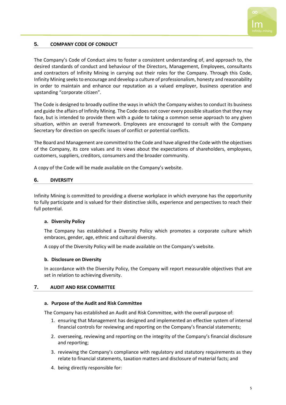

#### <span id="page-6-0"></span>**5. COMPANY CODE OF CONDUCT**

The Company's Code of Conduct aims to foster a consistent understanding of, and approach to, the desired standards of conduct and behaviour of the Directors, Management, Employees, consultants and contractors of Infinity Mining in carrying out their roles for the Company. Through this Code, Infinity Mining seeks to encourage and develop a culture of professionalism, honesty and reasonability in order to maintain and enhance our reputation as a valued employer, business operation and upstanding "corporate citizen".

The Code is designed to broadly outline the ways in which the Company wishes to conduct its business and guide the affairs of Infinity Mining. The Code does not cover every possible situation that they may face, but is intended to provide them with a guide to taking a common sense approach to any given situation, within an overall framework. Employees are encouraged to consult with the Company Secretary for direction on specific issues of conflict or potential conflicts.

The Board and Management are committed to the Code and have aligned the Code with the objectives of the Company, its core values and its views about the expectations of shareholders, employees, customers, suppliers, creditors, consumers and the broader community.

A copy of the Code will be made available on the Company's website.

#### <span id="page-6-1"></span>**6. DIVERSITY**

Infinity Mining is committed to providing a diverse workplace in which everyone has the opportunity to fully participate and is valued for their distinctive skills, experience and perspectives to reach their full potential.

#### <span id="page-6-2"></span>**a. Diversity Policy**

The Company has established a Diversity Policy which promotes a corporate culture which embraces, gender, age, ethnic and cultural diversity.

A copy of the Diversity Policy will be made available on the Company's website.

#### <span id="page-6-3"></span>**b. Disclosure on Diversity**

In accordance with the Diversity Policy, the Company will report measurable objectives that are set in relation to achieving diversity.

#### <span id="page-6-4"></span>**7. AUDIT AND RISK COMMITTEE**

#### <span id="page-6-5"></span>**a. Purpose of the Audit and Risk Committee**

The Company has established an Audit and Risk Committee, with the overall purpose of:

- 1. ensuring that Management has designed and implemented an effective system of internal financial controls for reviewing and reporting on the Company's financial statements;
- 2. overseeing, reviewing and reporting on the integrity of the Company's financial disclosure and reporting;
- 3. reviewing the Company's compliance with regulatory and statutory requirements as they relate to financial statements, taxation matters and disclosure of material facts; and
- 4. being directly responsible for: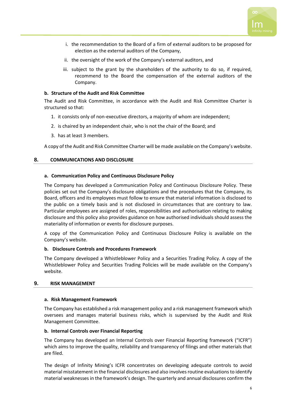

- i. the recommendation to the Board of a firm of external auditors to be proposed for election as the external auditors of the Company,
- ii. the oversight of the work of the Company's external auditors, and
- iii. subject to the grant by the shareholders of the authority to do so, if required, recommend to the Board the compensation of the external auditors of the Company.

#### <span id="page-7-0"></span>**b. Structure of the Audit and Risk Committee**

The Audit and Risk Committee, in accordance with the Audit and Risk Committee Charter is structured so that:

- 1. it consists only of non-executive directors, a majority of whom are independent;
- 2. is chaired by an independent chair, who is not the chair of the Board; and
- 3. has at least 3 members.

A copy of the Audit and Risk Committee Charter will be made available on the Company's website.

#### <span id="page-7-1"></span>**8. COMMUNICATIONS AND DISCLOSURE**

#### <span id="page-7-2"></span>**a. Communication Policy and Continuous Disclosure Policy**

The Company has developed a Communication Policy and Continuous Disclosure Policy. These policies set out the Company's disclosure obligations and the procedures that the Company, its Board, officers and its employees must follow to ensure that material information is disclosed to the public on a timely basis and is not disclosed in circumstances that are contrary to law. Particular employees are assigned of roles, responsibilities and authorisation relating to making disclosure and this policy also provides guidance on how authorised individuals should assess the materiality of information or events for disclosure purposes.

A copy of the Communication Policy and Continuous Disclosure Policy is available on the Company's website.

#### <span id="page-7-3"></span>**b. Disclosure Controls and Procedures Framework**

The Company developed a Whistleblower Policy and a Securities Trading Policy. A copy of the Whistleblower Policy and Securities Trading Policies will be made available on the Company's website.

#### <span id="page-7-4"></span>**9. RISK MANAGEMENT**

#### <span id="page-7-5"></span>**a. Risk Management Framework**

The Company has established a risk management policy and a risk management framework which oversees and manages material business risks, which is supervised by the Audit and Risk Management Committee.

#### <span id="page-7-6"></span>**b. Internal Controls over Financial Reporting**

The Company has developed an Internal Controls over Financial Reporting framework ("ICFR") which aims to improve the quality, reliability and transparency of filings and other materials that are filed.

The design of Infinity Mining's ICFR concentrates on developing adequate controls to avoid material misstatement in the financial disclosures and also involves routine evaluations to identify material weaknesses in the framework's design. The quarterly and annual disclosures confirm the